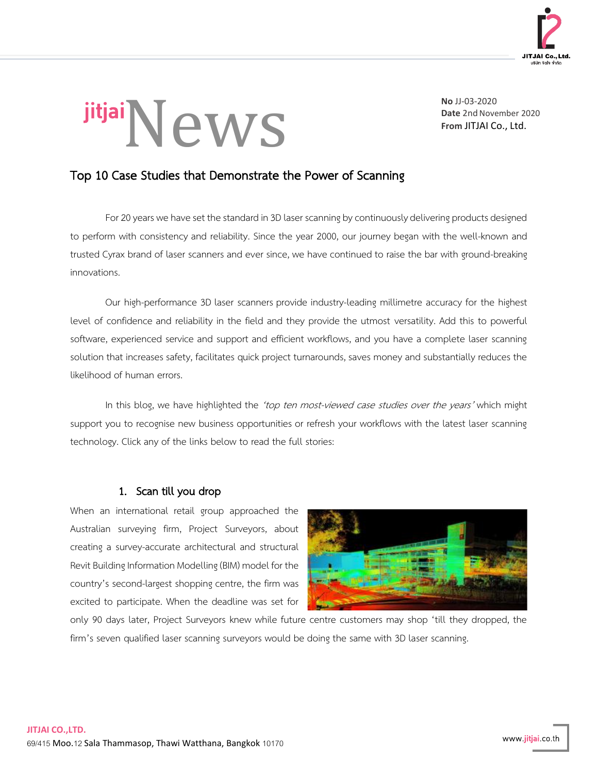

# **jitjai**News

**No** JJ-03-2020 **Date** 2nd November 2020 **From** JITJAI Co., Ltd.

# Top 10 Case Studies that Demonstrate the Power of Scanning

For 20 years we have set the standard in 3D laser scanning by continuously delivering products designed to perform with consistency and reliability. Since the year 2000, our journey began with the well-known and trusted Cyrax brand of laser scanners and ever since, we have continued to raise the bar with ground-breaking innovations.

Our high-performance 3D laser scanners provide industry-leading millimetre accuracy for the highest level of confidence and reliability in the field and they provide the utmost versatility. Add this to powerful software, experienced service and support and efficient workflows, and you have a complete laser scanning solution that increases safety, facilitates quick project turnarounds, saves money and substantially reduces the likelihood of human errors.

In this blog, we have highlighted the 'top ten most-viewed case studies over the years' which might support you to recognise new business opportunities or refresh your workflows with the latest laser scanning technology. Click any of the links below to read the full stories:

## 1. [Scan till you drop](https://leica-geosystems.com/case-studies/building/scan-till-you-drop)

When an international retail group approached the Australian surveying firm, Project Surveyors, about creating a survey-accurate architectural and structural Revit Building Information Modelling (BIM) model for the country's second-largest shopping centre, the firm was excited to participate. When the deadline was set for



only 90 days later, Project Surveyors knew while future centre customers may shop 'till they dropped, the firm's seven qualified laser scanning surveyors would be doing the same with 3D laser scanning.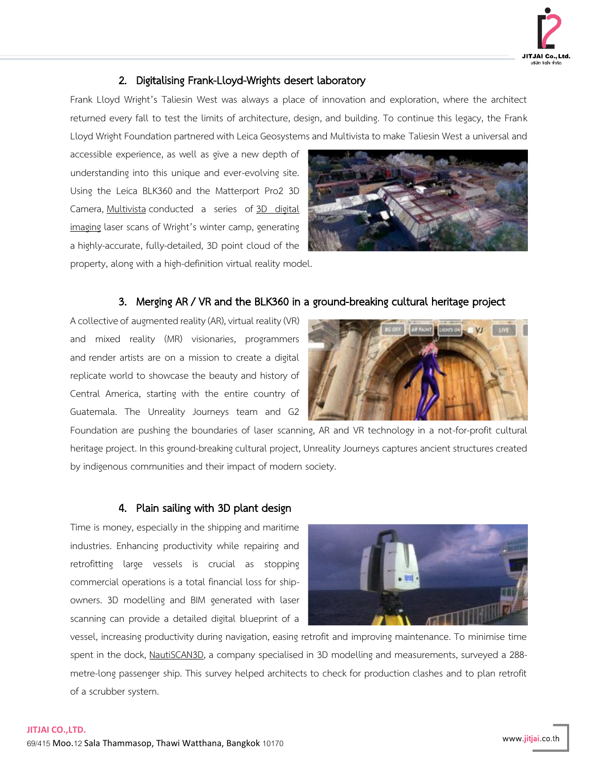

# 2. [Digitalising Frank-Lloyd-Wrights desert laboratory](https://leica-geosystems.com/about-us/news-room/customer-magazine/reporter-84/07-digitalising-frank-lloyd-wrights-desert-laboratory)

Frank Lloyd Wright's Taliesin West was always a place of innovation and exploration, where the architect returned every fall to test the limits of architecture, design, and building. To continue this legacy, the Frank Lloyd Wright Foundation partnered with Leica Geosystems and Multivista to make Taliesin West a universal and

accessible experience, as well as give a new depth of understanding into this unique and ever-evolving site. Using the Leica BLK360 and the Matterport Pro2 3D Camera, [Multivista](https://www.multivista.com/) conducted a series of 3D [digital](http://franklloydwright.org/3DLab/) [imaging](http://franklloydwright.org/3DLab/) laser scans of Wright's winter camp, generating a highly-accurate, fully-detailed, 3D point cloud of the property, along with a high-definition virtual reality model.



## 3. [Merging AR / VR and the BLK360 in a ground-breaking cultural heritage project](https://leica-geosystems.com/about-us/news-room/customer-magazine/reporter-84/03-merging-ar-vr-and-the-blk360-in-a-ground-breaking-cultural-heritage-project)

A collective of augmented reality (AR), virtual reality (VR) and mixed reality (MR) visionaries, programmers and render artists are on a mission to create a digital replicate world to showcase the beauty and history of Central America, starting with the entire country of Guatemala. The Unreality Journeys team and G2



Foundation are pushing the boundaries of laser scanning, AR and VR technology in a not-for-profit cultural heritage project. In this ground-breaking cultural project, Unreality Journeys captures ancient structures created by indigenous communities and their impact of modern society.

## 4. [Plain sailing with 3D plant design](https://leica-geosystems.com/about-us/news-room/customer-magazine/reporter-85/01-plain-sailing-with-3d-plant-design)

Time is money, especially in the shipping and maritime industries. Enhancing productivity while repairing and retrofitting large vessels is crucial as stopping commercial operations is a total financial loss for shipowners. 3D modelling and BIM generated with laser scanning can provide a detailed digital blueprint of a



vessel, increasing productivity during navigation, easing retrofit and improving maintenance. To minimise time spent in the dock, [NautiSCAN3D,](http://www.nautiscan3d.fr/) a company specialised in 3D modelling and measurements, surveyed a 288metre-long passenger ship. This survey helped architects to check for production clashes and to plan retrofit of a scrubber system.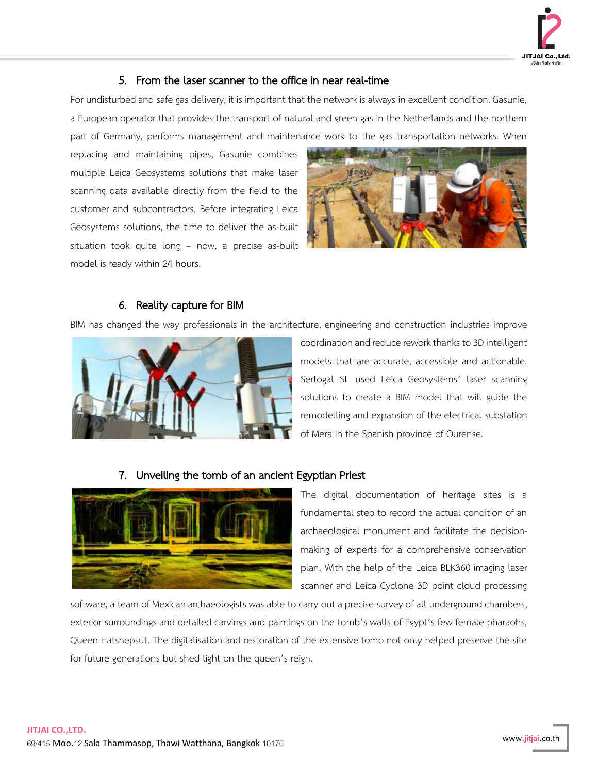

## 5. [From the laser scanner to the office in near real-time](https://leica-geosystems.com/about-us/news-room/customer-magazine/reporter-80/from-the-laser-scanner-to-office-in-near-real-time)

For undisturbed and safe gas delivery, it is important that the network is always in excellent condition. Gasunie, a European operator that provides the transport of natural and green gas in the Netherlands and the northern part of Germany, performs management and maintenance work to the gas transportation networks. When

replacing and maintaining pipes, Gasunie combines multiple Leica Geosystems solutions that make laser scanning data available directly from the field to the customer and subcontractors. Before integrating Leica Geosystems solutions, the time to deliver the as-built situation took quite long – now, a precise as-built model is ready within 24 hours.



## 6. [Reality capture for BIM](https://leica-geosystems.com/about-us/news-room/customer-magazine/reporter-78/reality-capture-for-bim)

BIM has changed the way professionals in the architecture, engineering and construction industries improve



coordination and reduce rework thanks to 3D intelligent models that are accurate, accessible and actionable. Sertogal SL used Leica Geosystems' laser scanning solutions to create a BIM model that will guide the remodelling and expansion of the electrical substation of Mera in the Spanish province of Ourense.

## 7. [Unveiling the tomb of an ancient Egyptian Priest](https://leica-geosystems.com/case-studies/reality-capture/unveiling-the-tomb-of-an-ancient-egyptian-priest)



The digital documentation of heritage sites is a fundamental step to record the actual condition of an archaeological monument and facilitate the decisionmaking of experts for a comprehensive conservation plan. With the help of the Leica BLK360 imaging laser scanner and Leica Cyclone 3D point cloud processing

software, a team of Mexican archaeologists was able to carry out a precise survey of all underground chambers, exterior surroundings and detailed carvings and paintings on the tomb's walls of Egypt's few female pharaohs, Queen Hatshepsut. The digitalisation and restoration of the extensive tomb not only helped preserve the site for future generations but shed light on the queen's reign.